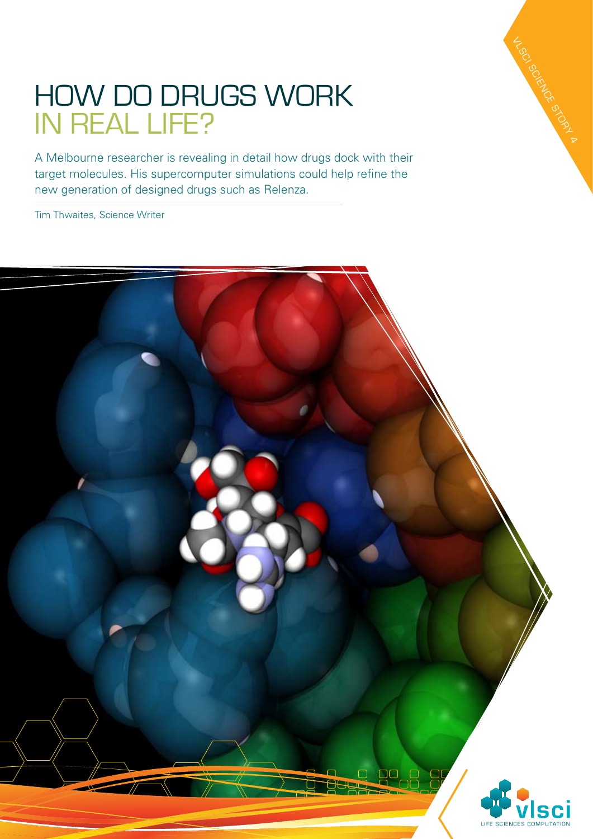## How do drugs work in real life?

A Melbourne researcher is revealing in detail how drugs dock with their target molecules. His supercomputer simulations could help refine the new generation of designed drugs such as Relenza.

Tim Thwaites, Science Writer



VLSCI SCIENCE STORY 4